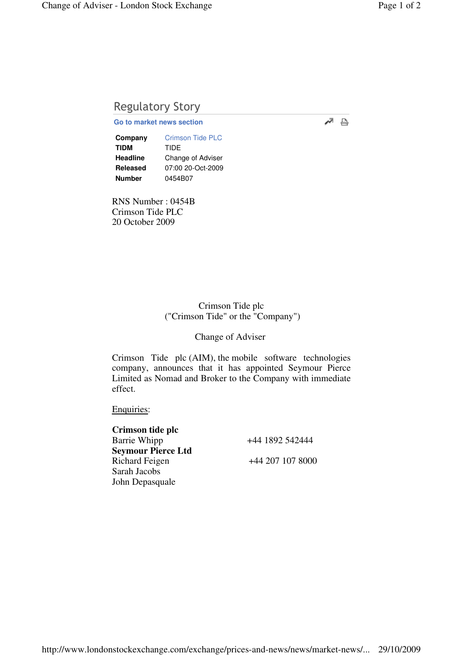# Regulatory Story

## **Go to market news section**

**Company** Crimson Tide PLC **TIDM** TIDE **Headline** Change of Adviser **Released** 07:00 20-Oct-2009 **Number** 0454B07

RNS Number : 0454B Crimson Tide PLC 20 October 2009

### Crimson Tide plc ("Crimson Tide" or the "Company")

Change of Adviser

Crimson Tide plc (AIM), the mobile software technologies company, announces that it has appointed Seymour Pierce Limited as Nomad and Broker to the Company with immediate effect.

#### Enquiries:

| Crimson tide plc          |                  |
|---------------------------|------------------|
| Barrie Whipp              | +44 1892 542444  |
| <b>Seymour Pierce Ltd</b> |                  |
| <b>Richard Feigen</b>     | +44 207 107 8000 |
| Sarah Jacobs              |                  |
| John Depasquale           |                  |